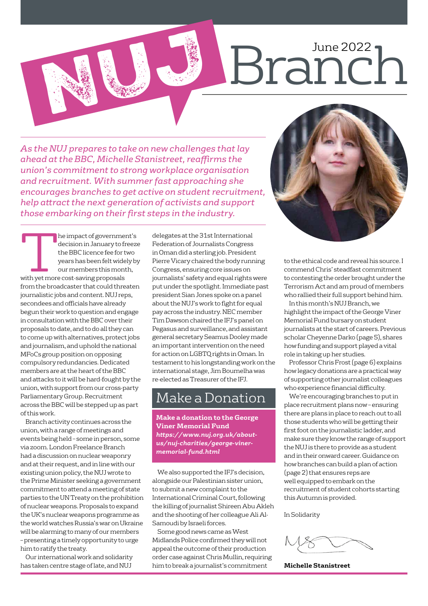# Branch NUJ 1

*As the NUJ prepares to take on new challenges that lay ahead at the BBC, Michelle Stanistreet, reaffirms the union's commitment to strong workplace organisation and recruitment. With summer fast approaching she encourages branches to get active on student recruitment, help attract the next generation of activists and support those embarking on their first steps in the industry.* 

**The impact of government's**<br>
decision in January to freez<br>
the BBC licence fee for two<br>
years has been felt widely b<br>
our members this month,<br>
with yet more cost-saving proposals decision in January to freeze the BBC licence fee for two years has been felt widely by our members this month, from the broadcaster that could threaten journalistic jobs and content. NUJ reps, secondees and officials have already begun their work to question and engage in consultation with the BBC over their proposals to date, and to do all they can to come up with alternatives, protect jobs and journalism, and uphold the national MFoCs group position on opposing compulsory redundancies. Dedicated members are at the heart of the BBC and attacks to it will be hard-fought by the union, with support from our cross-party Parliamentary Group. Recruitment across the BBC will be stepped up as part of this work.

Branch activity continues across the union, with a range of meetings and events being held – some in person, some via zoom. London Freelance Branch had a discussion on nuclear weaponry and at their request, and in line with our existing union policy, the NUJ wrote to the Prime Minister seeking a government commitment to attend a meeting of state parties to the UN Treaty on the prohibition of nuclear weapons. Proposals to expand the UK's nuclear weapons programme as the world watches Russia's war on Ukraine will be alarming to many of our members – presenting a timely opportunity to urge him to ratify the treaty.

Our international work and solidarity has taken centre stage of late, and NUJ

delegates at the 31st International Federation of Journalists Congress in Oman did a sterling job. President Pierre Vicary chaired the body running Congress, ensuring core issues on journalists' safety and equal rights were put under the spotlight. Immediate past president Sian Jones spoke on a panel about the NUJ's work to fight for equal pay across the industry. NEC member Tim Dawson chaired the IFJ's panel on Pegasus and surveillance, and assistant general secretary Seamus Dooley made an important intervention on the need for action on LGBTQ rights in Oman. In testament to his longstanding work on the international stage, Jim Boumelha was re-elected as Treasurer of the IFJ.

### Make a Donation

**Make a donation to the George Viner Memorial Fund** *[https://www.nuj.org.uk/about](https://www.nuj.org.uk/about-us/nuj-charities/george-viner-memorial-fund.html)[us/nuj-charities/george-viner](https://www.nuj.org.uk/about-us/nuj-charities/george-viner-memorial-fund.html)[memorial-fund.html](https://www.nuj.org.uk/about-us/nuj-charities/george-viner-memorial-fund.html)*

We also supported the IFJ's decision, alongside our Palestinian sister union, to submit a new complaint to the International Criminal Court, following the killing of journalist Shireen Abu Akleh and the shooting of her colleague Ali Al-Samoudi by Israeli forces.

Some good news came as West Midlands Police confirmed they will not appeal the outcome of their production order case against Chris Mullin, requiring him to break a journalist's commitment



to the ethical code and reveal his source. I commend Chris' steadfast commitment to contesting the order brought under the Terrorism Act and am proud of members who rallied their full support behind him.

In this month's NUJ Branch, we highlight the impact of the George Viner Memorial Fund bursary on student journalists at the start of careers. Previous scholar Cheyenne Darko (page 5), shares how funding and support played a vital role in taking up her studies.

Professor Chris Frost (page 6) explains how legacy donations are a practical way of supporting other journalist colleagues who experience financial difficulty.

We're encouraging branches to put in place recruitment plans now – ensuring there are plans in place to reach out to all those students who will be getting their first foot on the journalistic ladder, and make sure they know the range of support the NUJ is there to provide as a student and in their onward career. Guidance on how branches can build a plan of action (page 2) that ensures reps are well equipped to embark on the recruitment of student cohorts starting this Autumn is provided.

In Solidarity

**Michelle Stanistreet**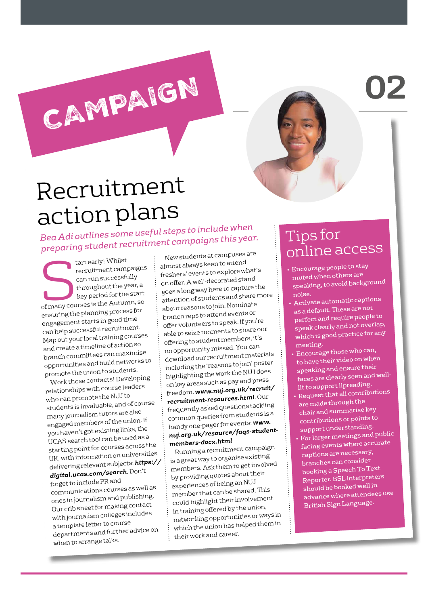**02**

## Recruitment action plans

CAMPAIGN

*Bea Adi outlines some useful steps to include when preparing student recruitment campaigns this year.*

tart early! Whilst<br>recruitment campions are can run successful<br>throughout the y<br>key period for the recruitment campaigns can run successfully throughout the year, a key period for the start of many courses is the Autumn, so ensuring the planning process for engagement starts in good time can help successful recruitment. Map out your local training courses and create a timeline of action so branch committees can maximise opportunities and build networks to promote the union to students.

Work those contacts! Developing relationships with course leaders who can promote the NUJ to students is invaluable, and of course many journalism tutors are also engaged members of the union. If you haven't got existing links, the UCAS search tool can be used as a starting point for courses across the UK, with information on universities delivering relevant subjects: *[https://](https://digital.ucas.com/search) [digital.ucas.com/search](https://digital.ucas.com/search)*. Don't forget to include PR an<sup>d</sup> communications courses as well as ones in journalism and publishing. Our crib sheet for making contact with journalism colleges includes a template letter to course departments and further advice on when to arrange talks.

New students at campuses are almost always keen to atten<sup>d</sup> freshers' events to explore what's on offer. A well-decorated stand goes a long way here to capture the attention of students and share more about reasons to join. Nominate branch reps to attend events or offer volunteers to speak. If you're able to seize moments to share our offering to student members, it's no opportunity missed. You can download our recruitment materials including the 'reasons to join' poster highlighting the work the NUJ does on key areas such as pay and press freedom. *[www.nuj.org.u](http://www.nuj.org.uk/recruit/recruitment-resources.html)k/recruit/ [recruitment-resources.](http://www.nuj.org.uk/recruit/recruitment-resources.html)html*. Our frequently asked questions tackling common queries from students is a handy one-pager for events: *www. nuj.org.uk/resource/faqs-studentmembers-docx.html*

Running a recruitment campaign is a great way to organise existing members. Ask them to get involved by providing quotes about their experiences of being an NUJ member that can be shared. This could highlight their involvement in training offered by the union, networking opportunities or ways in which the union has helped them in their work and career.

### Tips for online access

- Encourage people to stay muted when others are speaking, to avoid backgroun<sup>d</sup> noise.
- Activate automatic captions as a default. These are no<sup>t</sup> perfect and require people to speak clearly and not overlap, which is good practice for any meeting.
- Encourage those who can, to have their video on when speaking and ensure their faces are clearly seen and welllit to support lipreading.
- Request that all contributions are made through the chair and summarise key contributions or points to support understanding.
- For larger meetings and public facing events where accurate captions are necessary, branches can consider booking a Speech To Text Reporter. BSL interpreters should be booked well in advance where attendees use British Sign Language.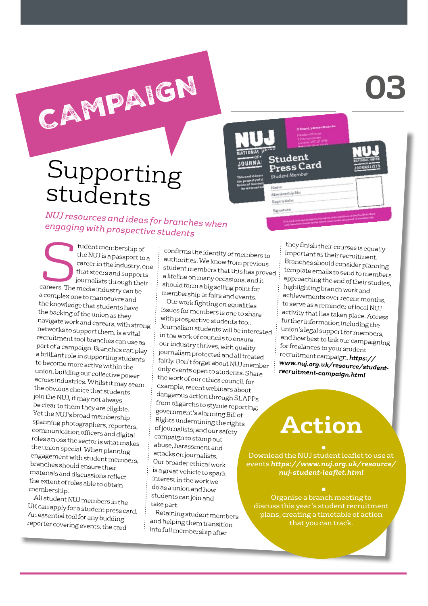# **03**

### Supporting students

CAMPAIGN

*NUJ resources and ideas for branches when engaging with prospective students* 

tudent membership of<br>the NUJ is a passport to<br>career in the industry, contains that steers and support<br>journalists throught! tudent membership of<br>the NUJ is a passport to a career in the industry, one that steers and supports journalists through their careers. The media industry can be a complex one to manoeuvre and the knowledge that students have the backing of the union as they navigate work and careers, with strong networks to support them, is a vital recruitment tool branches can use as part of a campaign. Branches can play a brilliant role in supporting students to become more active within the union, building our collective power across industries. Whilst it may seem the obvious choice that students join the NUJ, it may not always be clear to them they are eligible. Yet the NUJ's broad membership spanning photographers, reporters, communication officers and digital roles across the sector is what makes the union special. When planning engagement with student members, branches should ensure their materials and discussions reflect the extent of roles able to obtain membership.

All student NUJ members in the UK can apply for a student press card. An essential tool for any budding reporter covering events, the card

confirms the identity of members to authorities. We know from previous student members that this has proved a lifeline on many occasions, and it should form a big selling point for membership at fairs and events.

Our work fighting on equalities issues for members is one to share with prospective students too.. Journalism students will be interested in the work of councils to ensure our industry thrives, with quality journalism protected and all treated fairly. Don't forget about NUJ member only events open to students. Share the work of our ethics council, for example, recent webinars about dangerous action through SLAPPs from oligarchs to stymie reporting; government's alarming Bill of Rights undermining the rights of journalists; and our safety campaign to stamp out abuse, harassment and attacks on journalists. Our broader ethical work is a great vehicle to spark interest in the work we do as a union and how students can join and take part.

Retaining student members and helping them transition into full membership after

they finish their courses is equally important as their recruitment. Branches should consider planning template emails to send to members approaching the end of their studies, highlighting branch work and achievements over recent months, to serve as a reminder of local NUJ activity that has taken place. Access further information including the union's legal support for members, and how best to link our campaigning for freelances to your student recruitment campaign. *[https://](https://www.nuj.org.uk/resource/student-recruitment-campaign.html) [www.nuj.org.uk/resource/student](https://www.nuj.org.uk/resource/student-recruitment-campaign.html)[recruitment-campaign.html](https://www.nuj.org.uk/resource/student-recruitment-campaign.html)* 

Student Press Card

rship No Expiry date: Signature

Student Men

**JOURNA** 

# **Action**

• Download the NUJ student leaflet to use at events *[https://www.nuj.org.uk/resource/](https://www.nuj.org.uk/resource/nuj-student-leaflet.html) [nuj-student-leaflet.html](https://www.nuj.org.uk/resource/nuj-student-leaflet.html)*

• Organise a branch meeting to discuss this year's student recruitment plans, creating a timetable of action that you can track.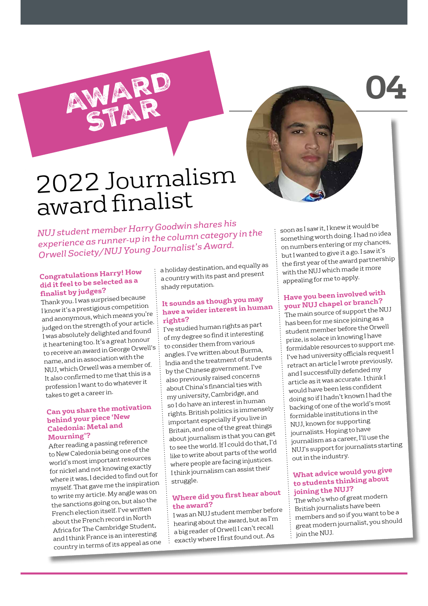2022 Journalism award finalist

AWARD

STAR

*NUJ student member Harry Goodwin shares his experience as runner-up in the column category in the Orwell Society/NUJ Young Journalist's Award.*

### **Congratulations Harry! How did it feel to be selected as a finalist by judges?**

Thank you. I was surprised because I know it's a prestigious competition and anonymous, which means you're judged on the strength of your article. I was absolutely delighted and found it heartening too. It's a great honour to receive an award in George Orwell's name, and in association with the NUJ, which Orwell was a member of. It also confirmed to me that this is a profession I want to do whatever it takes to get a career in.

#### **Can you share the motivation behind your piece 'New Caledonia: Metal and Mourning'?**

After reading a passing reference to New Caledonia being one of the world's most important resources for nickel and not knowing exactly where it was, I decided to find out for myself. That gave me the inspiration to write my article. My angle was on the sanctions going on, but also the French election itself. I've written about the French record in Nort<sup>h</sup> Africa for The Cambridge Student, and I think France is an interesting country in terms of its appeal as one

a holiday destination, and equally as a country with its past and present shady reputation.

#### **It sounds as though you may have a wider interest in human rights?**

I've studied human rights as par<sup>t</sup> of my degree so find it interesting to consider them from various angles. I've written about Burma, India and the treatment of students by the Chinese government. I've also previously raised concerns about China's financial ties with my university, Cambridge, an<sup>d</sup> so I do have an interest in human rights. British politics is immensely important especially if you live in Britain, and one of the great things about journalism is that you can ge<sup>t</sup> to see the world. If I could do that, I'd like to write about parts of the world where people are facing injustices. I think journalism can assist their struggle.

### **Where did you first hear about the award?**

I was an NUJ student member before hearing about the award, but as I'm a big reader of Orwell I can't recall exactly where I first found out. As

soon as I saw it, I knew it would be something worth doing. I had no idea on numbers entering or my chances, but I wanted to give it a go. I saw it's the first year of the award partnership with the NUJ which made it more appealing for me to apply.

**04**

### **Have you been involved with your NUJ chapel or branch?**

The main source of support the NUJ has been for me since joining as a student member before the Orwell prize, is solace in knowing I have formidable resources to support me. I've had university officials request I retract an article I wrote previously, and I successfully defended my article as it was accurate. I think I would have been less confident doing so if I hadn't known I had the backing of one of the world's most formidable institutions in the NUJ, known for supporting journalists. Hoping to have journalism as a career, I'll use the NUJ's support for journalists starting out in the industry.

#### **What advice would you give to students thinking about joining the NUJ?**

The who's who of great modern British journalists have been members and so if you want to be a great modern journalist, you should join the NUJ.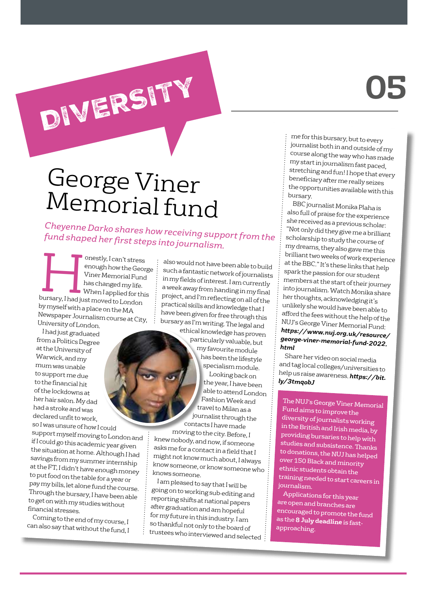# **05**

### George Viner Memorial fund

DIVERSITY

*Cheyenne Darko shares how receiving support from the fund shaped her first steps into journalism.* 

onestly, I can't stress enough how the George Viner Memorial Fund has changed my life. When I applied for this bursary, I had just moved to London by myself with a place on the MA Newspaper Journalism course at City, University of London.

I had just graduated from a Politics Degree at the University of Warwick, and my mum was unable to support me due to the financial hit of the lockdowns at her hair salon. My dad had a stroke and was declared unfit to work,

so I was unsure of how I could support myself moving to London and if I could go this academic year given the situation at home. Although I had savings from my summer internship at the FT, I didn't have enough money to put food on the table for a year or pay my bills, let alone fund the course. Through the bursary, I have been able to get on with my studies without financial stresses.

Coming to the end of my course, I can also say that without the fund, I

also would not have been able to build such a fantastic network of journalists in my fields of interest. I am currently a week away from handing in my final project, and I'm reflecting on all of the practical skills and knowledge that I have been given for free through this bursary as I'm writing. The legal and

ethical knowledge has proven particularly valuable, but my favourite module has been the lifestyle specialism module.

Looking back on the year, I have been able to attend London Fashion Week and travel to Milan as a journalist through the contacts I have made

moving to the city. Before, I knew nobody, and now, if someone asks me for a contact in a field that I might not know much about, I always know someone, or know someone who knows someone.

I am pleased to say that I will be going on to working sub-editing and reporting shifts at national papers after graduation and am hopeful for my future in this industry. I am so thankful not only to the board of trustees who interviewed and selected

me for this bursary, but to every journalist both in and outside of my course along the way who has made my start in journalism fast paced, stretching and fun! I hope that every beneficiary after me really seizes the opportunities available with this bursary.

BBC journalist Monika Plaha is also full of praise for the experience she received as a previous scholar: "Not only did they give me a brilliant scholarship to study the course of my dreams, they also gave me this brilliant two weeks of work experience at the BBC." It's these links that help spark the passion for our student members at the start of their journey into journalism. Watch Monika share her thoughts, acknowledging it's unlikely she would have been able to afford the fees without the help of the NUJ's George Viner Memorial Fund: *[https://www.nuj.org.uk/resource/](https://www.nuj.org.uk/resource/george-viner-memorial-fund-2022.html) [george-viner-memorial-fund-2022.](https://www.nuj.org.uk/resource/george-viner-memorial-fund-2022.html) [html](https://www.nuj.org.uk/resource/george-viner-memorial-fund-2022.html)* 

Share her video on social media and tag local colleges/universities to help us raise awareness. *[https://bit.](https://bit.ly/3tmqobJ ) [ly/3tmqobJ](https://bit.ly/3tmqobJ )*

The NUJ's George Viner Memorial Fund aims to improve the diversity of journalists working in the British and Irish media, by providing bursaries to help with studies and subsistence. Thanks to donations, the NUJ has helped over 150 Black and minority ethnic students obtain the training needed to start careers in journalism.

Applications for this year are open and branches are encouraged to promote the fund as the **8 July deadline** is fastapproaching.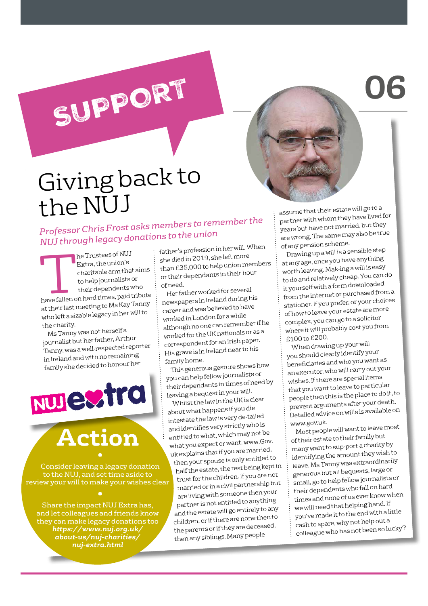## Giving back to the NUJ

SUPPORT

*Professor Chris Frost asks members to remember the NUJ through legacy donations to the union*

The Trustees of NUJ<br>Extra, the union's<br>charitable arm that<br>their dependents v Extra, the union's charitable arm that aims to help journalists or their dependents who have fallen on hard times, paid tribute at their last meeting to Ms Kay Tanny who left a sizable legacy in her will to the charity.

Ms Tanny was not herself a journalist but her father, Arthur Tanny, was a well-respected reporter in Ireland and with no remaining family she decided to honour her

NUJESTra

# **Action**

Consider leaving a legacy donation to the NUJ, and set time aside to review your will to make your wishes clear

Share the impact NUJ Extra has, and let colleagues and friends know they can make legacy donations too *[https://www.nuj.org.uk/](https://www.nuj.org.uk/about-us/nuj-charities/nuj-extra.html) [about-us/nuj-charities/](https://www.nuj.org.uk/about-us/nuj-charities/nuj-extra.html) [nuj-extra.html](https://www.nuj.org.uk/about-us/nuj-charities/nuj-extra.html)* 

father's profession in her will. When she died in 2019, she left more than £35,000 to help union members or their dependants in their hour of need.

Her father worked for severa<sup>l</sup> newspapers in Ireland during his career and was believed to have worked in London for a while although no one can remember if he worked for the UK nationals or as a correspondent for an Irish paper. His grave is in Ireland near to his family home.

This generous gesture shows how you can help fellow journalists or their dependants in times of need by leaving a bequest in your will.

Whilst the law in the UK is clear about what happens if you die intestate the law is very de-tailed and identifies very strictly who is entitled to what, which may not be what you expect or want. www.Gov. uk explains that if you are married,

then your spouse is only entitled to half the estate, the rest being kept in trust for the children. If you are no<sup>t</sup> married or in a civil partnership but are living with someone then your partner is not entitled to anything and the estate will go entirely to any children, or if there are none then to the parents or if they are deceased, then any siblings. Many people

assume that their estate will go to a partner with whom they have lived for years but have not married, but they are wrong. The same may also be true of any pension scheme.

**06**

Drawing up a will is a sensible step at any age, once you have anything worth leaving. Mak-ing a will is easy to do and relatively cheap. You can do it yourself with a form downloaded from the internet or purchased from a stationer. If you prefer, or your choices of how to leave your estate are more complex, you can go to a solicitor where it will probably cost you from £100 to £200.

When drawing up your will you should clearly identify your beneficiaries and who you want as an executor, who will carry out your wishes. If there are special items that you want to leave to particular people then this is the place to do it, to prevent arguments after your death. Detailed advice on wills is available on www.gov.uk.

Most people will want to leave mos<sup>t</sup> of their estate to their family but many want to sup-port a charity by identifying the amount they wish to leave. Ms Tanny was extraordinarily generous but all bequests, large or small, go to help fellow journalists or their dependents who fall on hard times and none of us ever know when we will need that helping hand. If you've made it to the end with a little cash to spare, why not help out a colleague who has not been so lucky?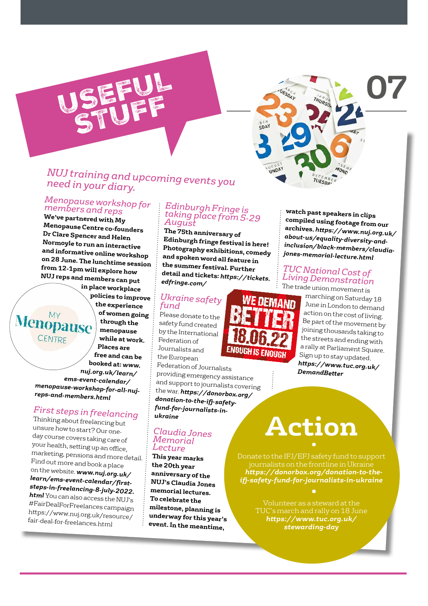

### *NUJ training and upcoming events you need in your diary.*

### *Menopause workshop for members and reps*

**We've partnered with My Menopause Centre co-founders Dr Clare Spencer and Helen Normoyle to run an interactive and informative online workshop on 28 June. The lunchtime session from 12-1pm will explore how NUJ reps and members can put** 

**in place workplace policies to improve the experience of women going Menopause through the menopause**  CENTRE **while at work. Places are free and can be booked at:** *[www.](http://www.nuj.org.uk/learn/ems-event-calendar/menopause-workshop-for-all-nuj-reps-and-members.html) [nuj.org.uk/learn/](http://www.nuj.org.uk/learn/ems-event-calendar/menopause-workshop-for-all-nuj-reps-and-members.html) [ems-event-calendar/](http://www.nuj.org.uk/learn/ems-event-calendar/menopause-workshop-for-all-nuj-reps-and-members.html) [menopause-workshop-for-all-nuj](http://www.nuj.org.uk/learn/ems-event-calendar/menopause-workshop-for-all-nuj-reps-and-members.html)[reps-and-members.html](http://www.nuj.org.uk/learn/ems-event-calendar/menopause-workshop-for-all-nuj-reps-and-members.html)*

### *First steps in freelancing*

 $\mathbf{M}$ 

Thinking about freelancing but unsure how to start? Our oneday course covers taking care of your health, setting up an office, marketing, pensions and more detail. Find out more and book a place on the website. *[www.nuj.org.uk/](http://www.nuj.org.uk/learn/ems-event-calendar/first-steps-in-freelancing-8-july-2022.html) [learn/ems-event-calendar/first](http://www.nuj.org.uk/learn/ems-event-calendar/first-steps-in-freelancing-8-july-2022.html)[steps-in-freelancing-8-july-2022.](http://www.nuj.org.uk/learn/ems-event-calendar/first-steps-in-freelancing-8-july-2022.html) [html](http://www.nuj.org.uk/learn/ems-event-calendar/first-steps-in-freelancing-8-july-2022.html)* You can also access the NUJ's #FairDealForFreelances campaign https://www.nuj.org.uk/resource/ fair-deal-for-freelances.html

#### *Edinburgh Fringe is taking place from 5-29 August*

**The 75th anniversary of Edinburgh fringe festival is here! Photography exhibitions, comedy and spoken word all feature in the summer festival. Further detail and tickets:** *[https://tickets.](https://tickets.edfringe.com/) [edfringe.com/](https://tickets.edfringe.com/)*

#### *Ukraine safety fund*

Please donate to the safety fund created by the International Federation of Journalists and the European Federation of Journalists

providing emergency assistance and support to journalists covering the war. *[https://donorbox.org/](https://donorbox.org/donation-to-the-ifj-safety-fund-for-journalists-in-ukraine) [donation-to-the-ifj-safety](https://donorbox.org/donation-to-the-ifj-safety-fund-for-journalists-in-ukraine)[fund-for-journalists-in](https://donorbox.org/donation-to-the-ifj-safety-fund-for-journalists-in-ukraine)[ukraine](https://donorbox.org/donation-to-the-ifj-safety-fund-for-journalists-in-ukraine)*

#### *Claudia Jones Memorial Lecture*

**This year marks the 20th year anniversary of the NUJ's Claudia Jones memorial lectures. To celebrate the milestone, planning is underway for this year's event. In the meantime,** 



**watch past speakers in clips compiled using footage from our archives.** *[https://www.nuj.org.uk/](https://www.nuj.org.uk/about-us/equality-diversity-and-inclusion/black-members/claudia-jones-memorial-lecture.html) [about-us/equality-diversity-and](https://www.nuj.org.uk/about-us/equality-diversity-and-inclusion/black-members/claudia-jones-memorial-lecture.html)[inclusion/black-members/claudia](https://www.nuj.org.uk/about-us/equality-diversity-and-inclusion/black-members/claudia-jones-memorial-lecture.html)[jones-memorial-lecture.html](https://www.nuj.org.uk/about-us/equality-diversity-and-inclusion/black-members/claudia-jones-memorial-lecture.html)*

#### *TUC National Cost of Living Demonstration*  The trade union movement is



marching on Saturday 18 June in London to demand action on the cost of living. Be part of the movement by joining thousands taking to the streets and ending with a rally at Parliament Square. Sign up to stay updated. *[https://www.tuc.org.uk/](https://www.tuc.org.uk/DemandBetter) [DemandBetter](https://www.tuc.org.uk/DemandBetter)* 

# **Action**

• Donate to the IFJ/EFJ safety fund to support journalists on the frontline in Ukraine *[https://donorbox.org/donation-to-the](https://donorbox.org/donation-to-the-ifj-safety-fund-for-journalists-in-ukraine)[ifj-safety-fund-for-journalists-in-ukraine](https://donorbox.org/donation-to-the-ifj-safety-fund-for-journalists-in-ukraine)*

> TUC's march and rally on 18 June *[https://www.tuc.org.uk/](https://www.tuc.org.uk/stewarding-day) [stewarding-day](https://www.tuc.org.uk/stewarding-day)*